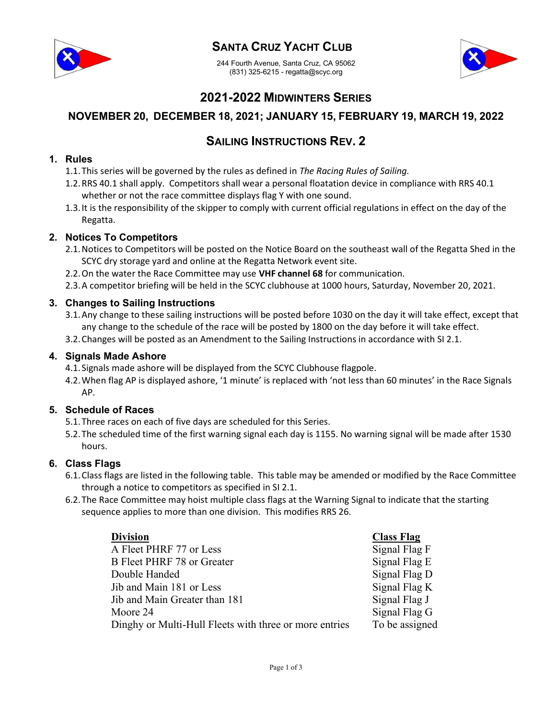

## SANTA CRUZ YACHT CLUB

244 Fourth Avenue, Santa Cruz, CA 95062 (831) 325-6215 - regatta@scyc.org



## 2021-2022 MIDWINTERS SERIES

### NOVEMBER 20, DECEMBER 18, 2021; JANUARY 15, FEBRUARY 19, MARCH 19, 2022

## SAILING INSTRUCTIONS REV. 2

#### 1. Rules

- 1.1. This series will be governed by the rules as defined in The Racing Rules of Sailing.
- 1.2.RRS 40.1 shall apply. Competitors shall wear a personal floatation device in compliance with RRS 40.1 whether or not the race committee displays flag Y with one sound.
- 1.3.It is the responsibility of the skipper to comply with current official regulations in effect on the day of the Regatta.

#### 2. Notices To Competitors

- 2.1.Notices to Competitors will be posted on the Notice Board on the southeast wall of the Regatta Shed in the SCYC dry storage yard and online at the Regatta Network event site.
- 2.2. On the water the Race Committee may use VHF channel 68 for communication.
- 2.3.A competitor briefing will be held in the SCYC clubhouse at 1000 hours, Saturday, November 20, 2021.

#### 3. Changes to Sailing Instructions

- 3.1.Any change to these sailing instructions will be posted before 1030 on the day it will take effect, except that any change to the schedule of the race will be posted by 1800 on the day before it will take effect.
- 3.2.Changes will be posted as an Amendment to the Sailing Instructions in accordance with SI 2.1.

#### 4. Signals Made Ashore

- 4.1. Signals made ashore will be displayed from the SCYC Clubhouse flagpole.
- 4.2.When flag AP is displayed ashore, '1 minute' is replaced with 'not less than 60 minutes' in the Race Signals AP.

#### 5. Schedule of Races

- 5.1.Three races on each of five days are scheduled for this Series.
- 5.2.The scheduled time of the first warning signal each day is 1155. No warning signal will be made after 1530 hours.

#### 6. Class Flags

- 6.1.Class flags are listed in the following table. This table may be amended or modified by the Race Committee through a notice to competitors as specified in SI 2.1.
- 6.2.The Race Committee may hoist multiple class flags at the Warning Signal to indicate that the starting sequence applies to more than one division. This modifies RRS 26.

| <b>Division</b>                                        | <b>Class Flag</b> |
|--------------------------------------------------------|-------------------|
| A Fleet PHRF 77 or Less                                | Signal Flag F     |
| B Fleet PHRF 78 or Greater                             | Signal Flag E     |
| Double Handed                                          | Signal Flag D     |
| Jib and Main 181 or Less                               | Signal Flag K     |
| Jib and Main Greater than 181                          | Signal Flag J     |
| Moore 24                                               | Signal Flag G     |
| Dinghy or Multi-Hull Fleets with three or more entries | To be assigned    |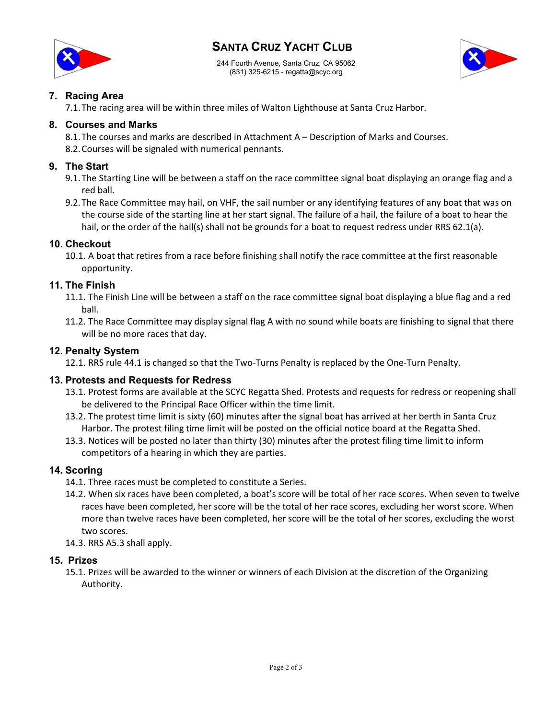# SANTA CRUZ YACHT CLUB



244 Fourth Avenue, Santa Cruz, CA 95062 (831) 325-6215 - regatta@scyc.org



#### 7. Racing Area

7.1.The racing area will be within three miles of Walton Lighthouse at Santa Cruz Harbor.

#### 8. Courses and Marks

8.1.The courses and marks are described in Attachment A – Description of Marks and Courses.

8.2.Courses will be signaled with numerical pennants.

#### 9. The Start

- 9.1.The Starting Line will be between a staff on the race committee signal boat displaying an orange flag and a red ball.
- 9.2.The Race Committee may hail, on VHF, the sail number or any identifying features of any boat that was on the course side of the starting line at her start signal. The failure of a hail, the failure of a boat to hear the hail, or the order of the hail(s) shall not be grounds for a boat to request redress under RRS 62.1(a).

#### 10. Checkout

10.1. A boat that retires from a race before finishing shall notify the race committee at the first reasonable opportunity.

#### 11. The Finish

- 11.1. The Finish Line will be between a staff on the race committee signal boat displaying a blue flag and a red ball.
- 11.2. The Race Committee may display signal flag A with no sound while boats are finishing to signal that there will be no more races that day.

#### 12. Penalty System

12.1. RRS rule 44.1 is changed so that the Two-Turns Penalty is replaced by the One-Turn Penalty.

#### 13. Protests and Requests for Redress

- 13.1. Protest forms are available at the SCYC Regatta Shed. Protests and requests for redress or reopening shall be delivered to the Principal Race Officer within the time limit.
- 13.2. The protest time limit is sixty (60) minutes after the signal boat has arrived at her berth in Santa Cruz Harbor. The protest filing time limit will be posted on the official notice board at the Regatta Shed.
- 13.3. Notices will be posted no later than thirty (30) minutes after the protest filing time limit to inform competitors of a hearing in which they are parties.

#### 14. Scoring

- 14.1. Three races must be completed to constitute a Series.
- 14.2. When six races have been completed, a boat's score will be total of her race scores. When seven to twelve races have been completed, her score will be the total of her race scores, excluding her worst score. When more than twelve races have been completed, her score will be the total of her scores, excluding the worst two scores.
- 14.3. RRS A5.3 shall apply.

#### 15. Prizes

15.1. Prizes will be awarded to the winner or winners of each Division at the discretion of the Organizing Authority.